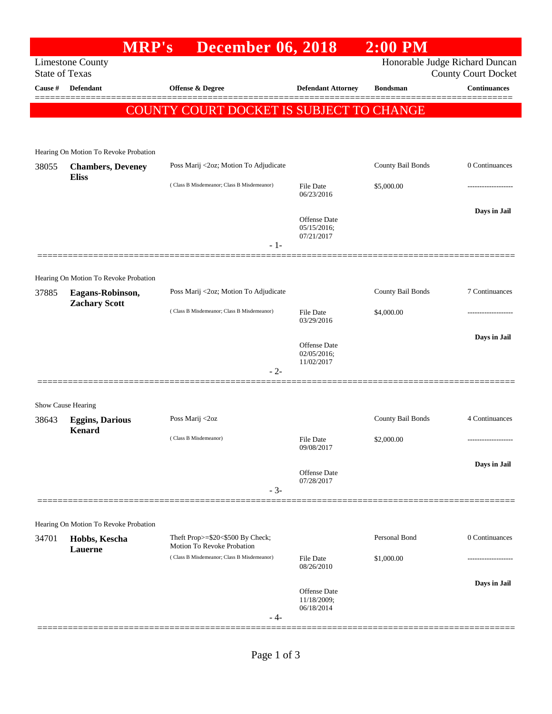|                       |                                          | <b>MRP's</b>                                                   | <b>December 06, 2018</b> |                                           | $2:00$ PM         |                                                              |
|-----------------------|------------------------------------------|----------------------------------------------------------------|--------------------------|-------------------------------------------|-------------------|--------------------------------------------------------------|
| <b>State of Texas</b> | <b>Limestone County</b>                  |                                                                |                          |                                           |                   | Honorable Judge Richard Duncan<br><b>County Court Docket</b> |
| <b>Cause #</b>        | Defendant                                | Offense & Degree                                               |                          | <b>Defendant Attorney</b>                 | <b>Bondsman</b>   | Continuances<br>------                                       |
|                       |                                          | COUNTY COURT DOCKET IS SUBJECT TO CHANGE                       |                          |                                           |                   |                                                              |
|                       |                                          |                                                                |                          |                                           |                   |                                                              |
|                       | Hearing On Motion To Revoke Probation    |                                                                |                          |                                           |                   |                                                              |
| 38055                 | <b>Chambers</b> , Deveney                | Poss Marij <2oz; Motion To Adjudicate                          |                          |                                           | County Bail Bonds | 0 Continuances                                               |
|                       | <b>Eliss</b>                             | (Class B Misdemeanor; Class B Misdemeanor)                     |                          | <b>File Date</b><br>06/23/2016            | \$5,000.00        |                                                              |
|                       |                                          |                                                                |                          |                                           |                   | Days in Jail                                                 |
|                       |                                          |                                                                |                          | Offense Date<br>05/15/2016;<br>07/21/2017 |                   |                                                              |
|                       |                                          |                                                                | $-1-$                    |                                           |                   |                                                              |
|                       | Hearing On Motion To Revoke Probation    |                                                                |                          |                                           |                   |                                                              |
| 37885                 | Eagans-Robinson,<br><b>Zachary Scott</b> | Poss Marij <2oz; Motion To Adjudicate                          |                          |                                           | County Bail Bonds | 7 Continuances                                               |
|                       |                                          | (Class B Misdemeanor; Class B Misdemeanor)                     |                          | <b>File Date</b><br>03/29/2016            | \$4,000.00        |                                                              |
|                       |                                          |                                                                |                          | Offense Date                              |                   | Days in Jail                                                 |
|                       |                                          |                                                                |                          | 02/05/2016;<br>11/02/2017                 |                   |                                                              |
|                       |                                          |                                                                | $-2-$                    |                                           |                   |                                                              |
|                       | Show Cause Hearing                       |                                                                |                          |                                           |                   |                                                              |
| 38643                 | <b>Eggins, Darious</b>                   | Poss Marij <2oz                                                |                          |                                           | County Bail Bonds | 4 Continuances                                               |
|                       | <b>Kenard</b>                            | (Class B Misdemeanor)                                          |                          | File Date<br>09/08/2017                   | \$2,000.00        |                                                              |
|                       |                                          |                                                                |                          | Offense Date                              |                   | Days in Jail                                                 |
|                       |                                          |                                                                | $-3-$                    | 07/28/2017                                |                   |                                                              |
|                       |                                          |                                                                |                          |                                           |                   |                                                              |
|                       | Hearing On Motion To Revoke Probation    |                                                                |                          |                                           |                   |                                                              |
| 34701                 | Hobbs, Kescha<br>Lauerne                 | Theft Prop>=\$20<\$500 By Check;<br>Motion To Revoke Probation |                          |                                           | Personal Bond     | 0 Continuances                                               |
|                       |                                          | (Class B Misdemeanor; Class B Misdemeanor)                     |                          | <b>File Date</b><br>08/26/2010            | \$1,000.00        |                                                              |
|                       |                                          |                                                                |                          | Offense Date                              |                   | Days in Jail                                                 |
|                       |                                          |                                                                | $-4-$                    | 11/18/2009;<br>06/18/2014                 |                   |                                                              |
|                       |                                          |                                                                |                          |                                           |                   |                                                              |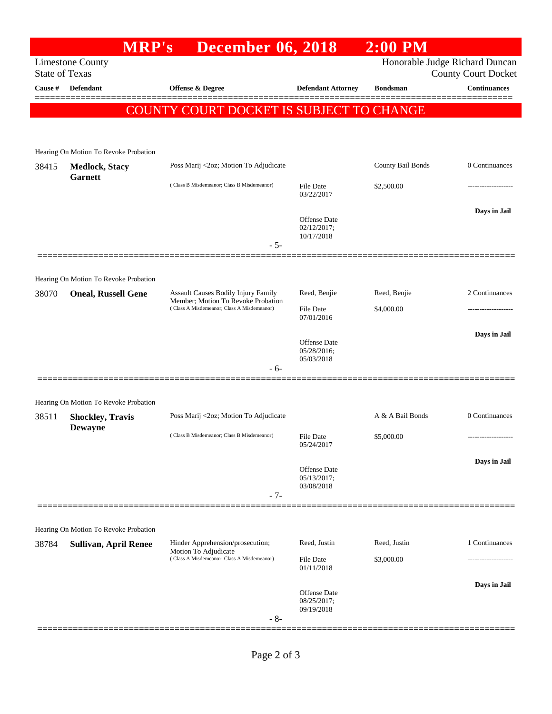|                                                  |                                           | <b>MRP's</b>                               | <b>December 06, 2018</b>                                                                                                |                                                     | $2:00$ PM         |                                                              |
|--------------------------------------------------|-------------------------------------------|--------------------------------------------|-------------------------------------------------------------------------------------------------------------------------|-----------------------------------------------------|-------------------|--------------------------------------------------------------|
| <b>Limestone County</b><br><b>State of Texas</b> |                                           |                                            |                                                                                                                         |                                                     |                   | Honorable Judge Richard Duncan<br><b>County Court Docket</b> |
| Cause #                                          | <b>Defendant</b>                          | <b>Offense &amp; Degree</b>                |                                                                                                                         | <b>Defendant Attorney</b>                           | <b>Bondsman</b>   | <b>Continuances</b>                                          |
|                                                  |                                           | COUNTY COURT DOCKET IS SUBJECT TO CHANGE   |                                                                                                                         |                                                     |                   |                                                              |
|                                                  |                                           |                                            |                                                                                                                         |                                                     |                   |                                                              |
|                                                  | Hearing On Motion To Revoke Probation     |                                            |                                                                                                                         |                                                     |                   |                                                              |
| 38415                                            | <b>Medlock, Stacy</b><br><b>Garnett</b>   | Poss Marij <2oz; Motion To Adjudicate      |                                                                                                                         |                                                     | County Bail Bonds | 0 Continuances                                               |
|                                                  |                                           |                                            | (Class B Misdemeanor; Class B Misdemeanor)                                                                              |                                                     | \$2,500.00        |                                                              |
|                                                  |                                           |                                            |                                                                                                                         |                                                     |                   | Days in Jail                                                 |
|                                                  |                                           |                                            |                                                                                                                         | <b>Offense Date</b><br>$02/12/2017$ ;<br>10/17/2018 |                   |                                                              |
|                                                  |                                           |                                            | $-5-$                                                                                                                   |                                                     |                   |                                                              |
|                                                  | Hearing On Motion To Revoke Probation     |                                            |                                                                                                                         |                                                     |                   |                                                              |
| 38070                                            | <b>Oneal, Russell Gene</b>                |                                            | Assault Causes Bodily Injury Family<br>Member; Motion To Revoke Probation<br>(Class A Misdemeanor; Class A Misdemeanor) | Reed, Benjie                                        | Reed, Benjie      | 2 Continuances                                               |
|                                                  |                                           |                                            |                                                                                                                         | <b>File Date</b><br>07/01/2016                      | \$4,000.00        |                                                              |
|                                                  |                                           |                                            |                                                                                                                         |                                                     |                   | Days in Jail                                                 |
|                                                  |                                           |                                            |                                                                                                                         | Offense Date<br>05/28/2016;<br>05/03/2018           |                   |                                                              |
|                                                  |                                           |                                            | - 6-                                                                                                                    |                                                     |                   |                                                              |
|                                                  | Hearing On Motion To Revoke Probation     |                                            |                                                                                                                         |                                                     |                   |                                                              |
| 38511                                            | <b>Shockley, Travis</b><br><b>Dewayne</b> | Poss Marij <2oz; Motion To Adjudicate      |                                                                                                                         |                                                     | A & A Bail Bonds  | 0 Continuances                                               |
|                                                  |                                           | (Class B Misdemeanor; Class B Misdemeanor) |                                                                                                                         | <b>File Date</b><br>05/24/2017                      | \$5,000.00        | ------------------                                           |
|                                                  |                                           |                                            |                                                                                                                         | Offense Date<br>05/13/2017;                         |                   | Days in Jail                                                 |
|                                                  |                                           |                                            | $-7-$                                                                                                                   | 03/08/2018                                          |                   |                                                              |
|                                                  |                                           |                                            |                                                                                                                         |                                                     |                   |                                                              |
|                                                  | Hearing On Motion To Revoke Probation     |                                            |                                                                                                                         |                                                     |                   |                                                              |
| 38784                                            | <b>Sullivan, April Renee</b>              | Motion To Adjudicate                       | Hinder Apprehension/prosecution;<br>(Class A Misdemeanor; Class A Misdemeanor)                                          | Reed, Justin                                        | Reed, Justin      | 1 Continuances                                               |
|                                                  |                                           |                                            |                                                                                                                         | File Date<br>01/11/2018                             | \$3,000.00        |                                                              |
|                                                  |                                           |                                            |                                                                                                                         |                                                     |                   | Days in Jail                                                 |
|                                                  |                                           |                                            |                                                                                                                         | Offense Date<br>08/25/2017;<br>09/19/2018           |                   |                                                              |
|                                                  |                                           |                                            | $-8-$                                                                                                                   |                                                     |                   |                                                              |